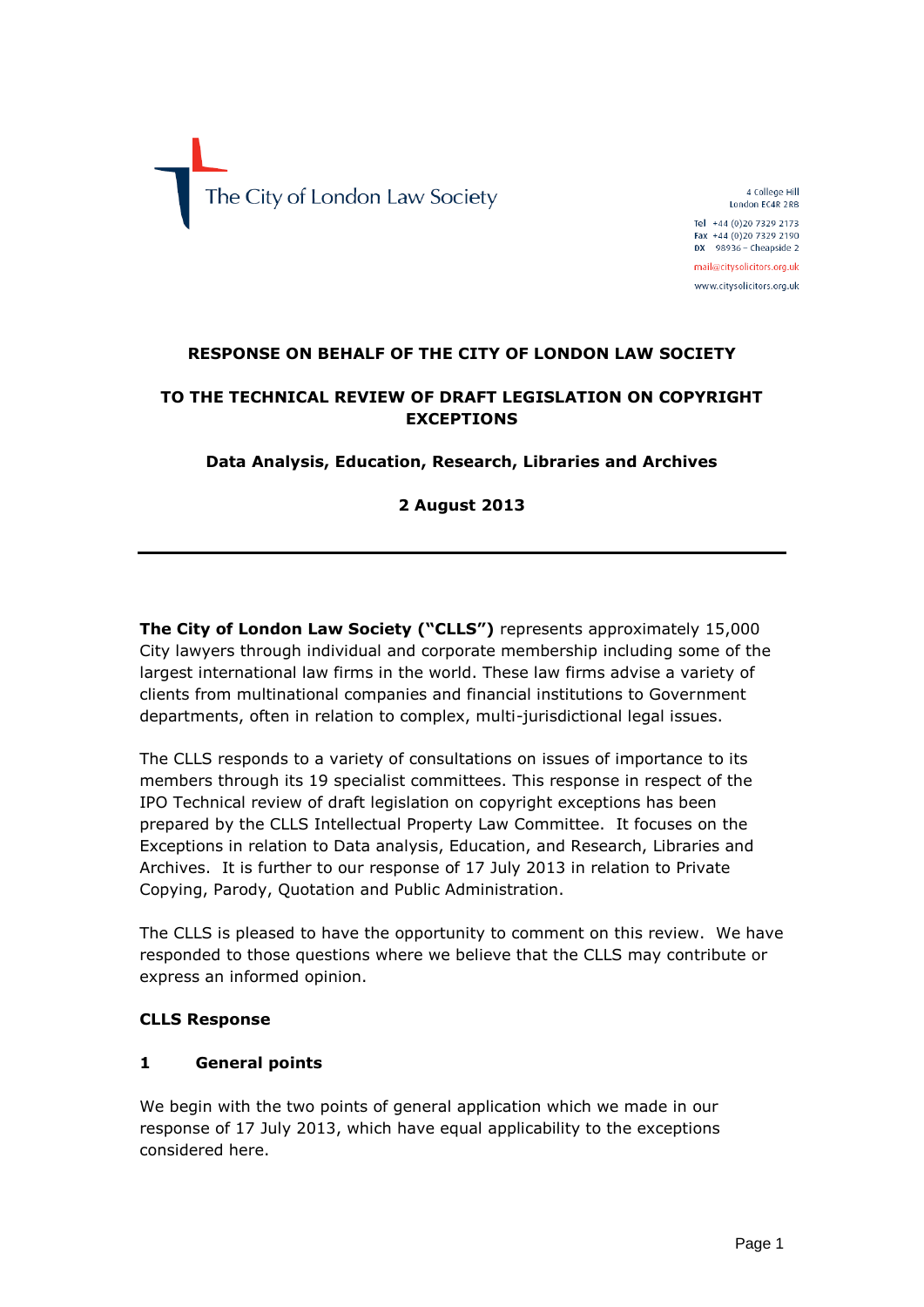The City of London Law Society

4 College Hill London EC4R 2RB Tel +44 (0) 20 7329 2173 Fax +44 (0)20 7329 2190  $DX$  98936 - Cheapside 2 mail@citysolicitors.org.uk

www.citysolicitors.org.uk

#### **RESPONSE ON BEHALF OF THE CITY OF LONDON LAW SOCIETY**

## **TO THE TECHNICAL REVIEW OF DRAFT LEGISLATION ON COPYRIGHT EXCEPTIONS**

#### **Data Analysis, Education, Research, Libraries and Archives**

**2 August 2013**

**The City of London Law Society ("CLLS")** represents approximately 15,000 City lawyers through individual and corporate membership including some of the largest international law firms in the world. These law firms advise a variety of clients from multinational companies and financial institutions to Government departments, often in relation to complex, multi-jurisdictional legal issues.

The CLLS responds to a variety of consultations on issues of importance to its members through its 19 specialist committees. This response in respect of the IPO Technical review of draft legislation on copyright exceptions has been prepared by the CLLS Intellectual Property Law Committee. It focuses on the Exceptions in relation to Data analysis, Education, and Research, Libraries and Archives. It is further to our response of 17 July 2013 in relation to Private Copying, Parody, Quotation and Public Administration.

The CLLS is pleased to have the opportunity to comment on this review. We have responded to those questions where we believe that the CLLS may contribute or express an informed opinion.

#### **CLLS Response**

#### **1 General points**

We begin with the two points of general application which we made in our response of 17 July 2013, which have equal applicability to the exceptions considered here.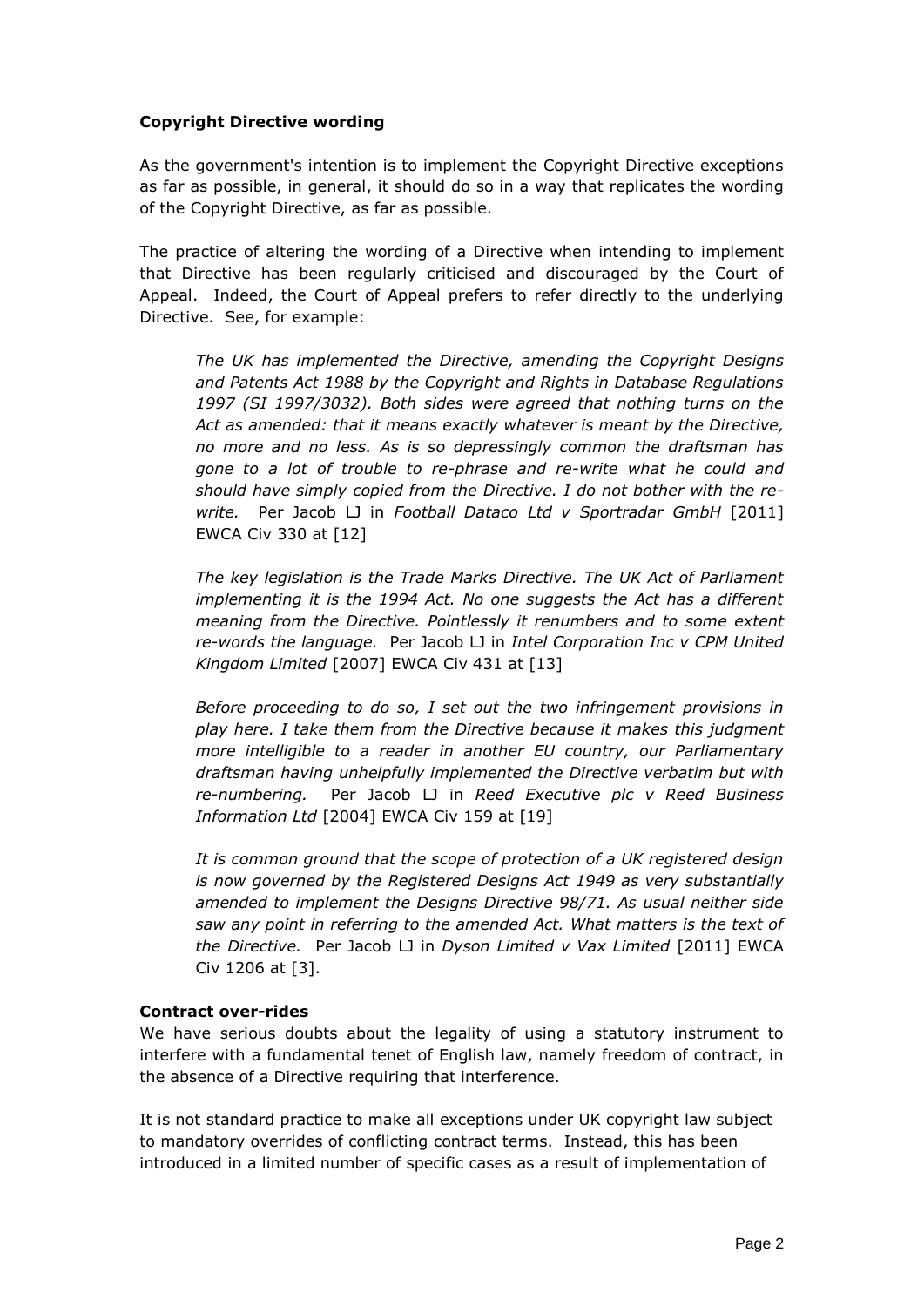### **Copyright Directive wording**

As the government's intention is to implement the Copyright Directive exceptions as far as possible, in general, it should do so in a way that replicates the wording of the Copyright Directive, as far as possible.

The practice of altering the wording of a Directive when intending to implement that Directive has been regularly criticised and discouraged by the Court of Appeal. Indeed, the Court of Appeal prefers to refer directly to the underlying Directive. See, for example:

*The UK has implemented the Directive, amending the Copyright Designs and Patents Act 1988 by the Copyright and Rights in Database Regulations 1997 (SI 1997/3032). Both sides were agreed that nothing turns on the Act as amended: that it means exactly whatever is meant by the Directive, no more and no less. As is so depressingly common the draftsman has gone to a lot of trouble to re-phrase and re-write what he could and should have simply copied from the Directive. I do not bother with the rewrite.* Per Jacob LJ in *Football Dataco Ltd v Sportradar GmbH* [2011] EWCA Civ 330 at [12]

*The key legislation is the Trade Marks Directive. The UK Act of Parliament implementing it is the 1994 Act. No one suggests the Act has a different meaning from the Directive. Pointlessly it renumbers and to some extent re-words the language.* Per Jacob LJ in *Intel Corporation Inc v CPM United Kingdom Limited* [2007] EWCA Civ 431 at [13]

*Before proceeding to do so, I set out the two infringement provisions in play here. I take them from the Directive because it makes this judgment more intelligible to a reader in another EU country, our Parliamentary draftsman having unhelpfully implemented the Directive verbatim but with re-numbering.* Per Jacob LJ in *Reed Executive plc v Reed Business Information Ltd* [2004] EWCA Civ 159 at [19]

*It is common ground that the scope of protection of a UK registered design is now governed by the Registered Designs Act 1949 as very substantially amended to implement the Designs Directive 98/71. As usual neither side saw any point in referring to the amended Act. What matters is the text of the Directive.* Per Jacob LJ in *Dyson Limited v Vax Limited* [2011] EWCA Civ 1206 at [3].

#### **Contract over-rides**

We have serious doubts about the legality of using a statutory instrument to interfere with a fundamental tenet of English law, namely freedom of contract, in the absence of a Directive requiring that interference.

It is not standard practice to make all exceptions under UK copyright law subject to mandatory overrides of conflicting contract terms. Instead, this has been introduced in a limited number of specific cases as a result of implementation of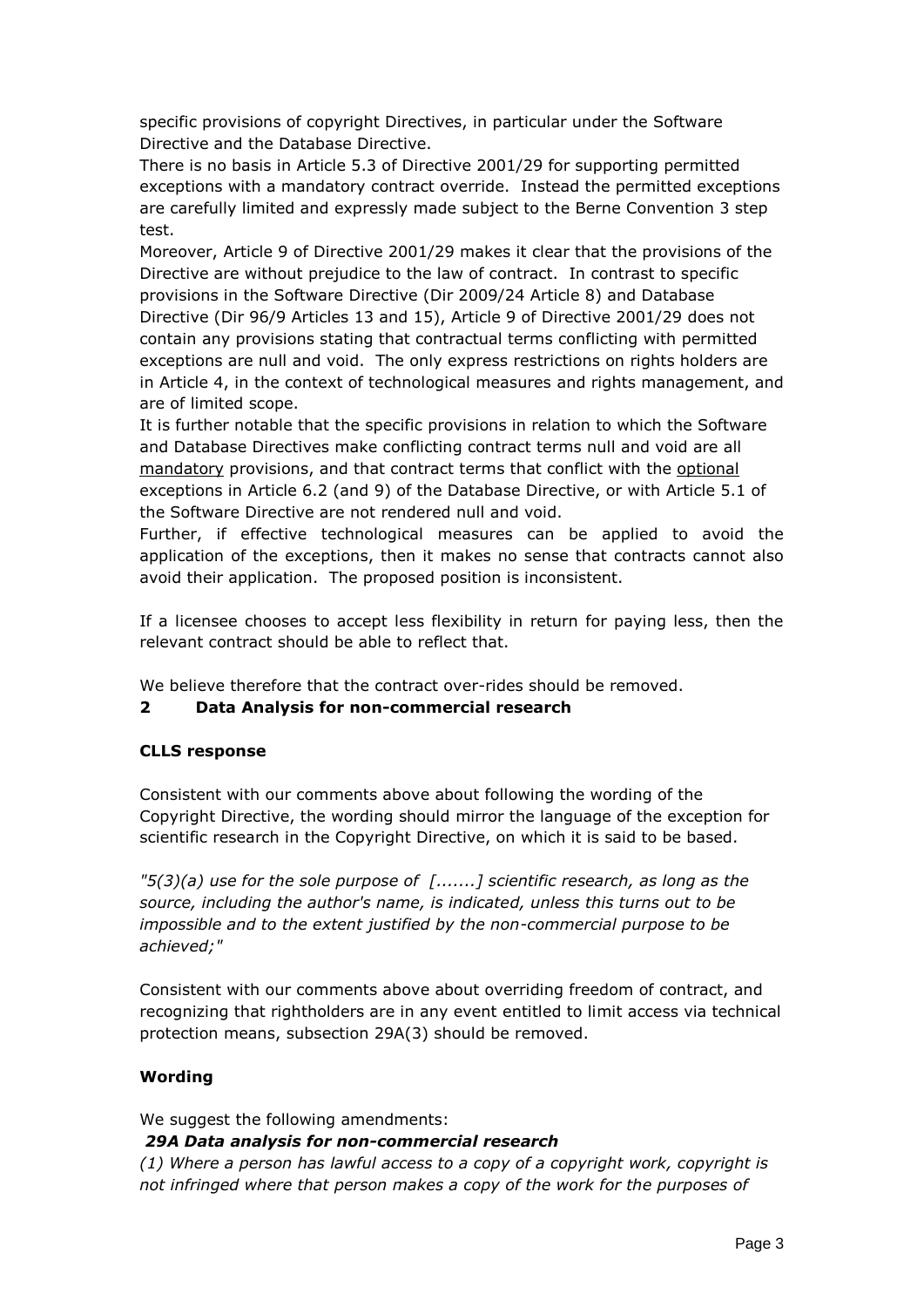specific provisions of copyright Directives, in particular under the Software Directive and the Database Directive.

There is no basis in Article 5.3 of Directive 2001/29 for supporting permitted exceptions with a mandatory contract override. Instead the permitted exceptions are carefully limited and expressly made subject to the Berne Convention 3 step test.

Moreover, Article 9 of Directive 2001/29 makes it clear that the provisions of the Directive are without prejudice to the law of contract. In contrast to specific provisions in the Software Directive (Dir 2009/24 Article 8) and Database Directive (Dir 96/9 Articles 13 and 15), Article 9 of Directive 2001/29 does not contain any provisions stating that contractual terms conflicting with permitted exceptions are null and void. The only express restrictions on rights holders are in Article 4, in the context of technological measures and rights management, and are of limited scope.

It is further notable that the specific provisions in relation to which the Software and Database Directives make conflicting contract terms null and void are all mandatory provisions, and that contract terms that conflict with the optional exceptions in Article 6.2 (and 9) of the Database Directive, or with Article 5.1 of the Software Directive are not rendered null and void.

Further, if effective technological measures can be applied to avoid the application of the exceptions, then it makes no sense that contracts cannot also avoid their application. The proposed position is inconsistent.

If a licensee chooses to accept less flexibility in return for paying less, then the relevant contract should be able to reflect that.

We believe therefore that the contract over-rides should be removed.

### **2 Data Analysis for non-commercial research**

### **CLLS response**

Consistent with our comments above about following the wording of the Copyright Directive, the wording should mirror the language of the exception for scientific research in the Copyright Directive, on which it is said to be based.

*"5(3)(a) use for the sole purpose of [.......] scientific research, as long as the source, including the author's name, is indicated, unless this turns out to be impossible and to the extent justified by the non-commercial purpose to be achieved;"*

Consistent with our comments above about overriding freedom of contract, and recognizing that rightholders are in any event entitled to limit access via technical protection means, subsection 29A(3) should be removed.

#### **Wording**

We suggest the following amendments:

#### *29A Data analysis for non-commercial research*

*(1) Where a person has lawful access to a copy of a copyright work, copyright is not infringed where that person makes a copy of the work for the purposes of*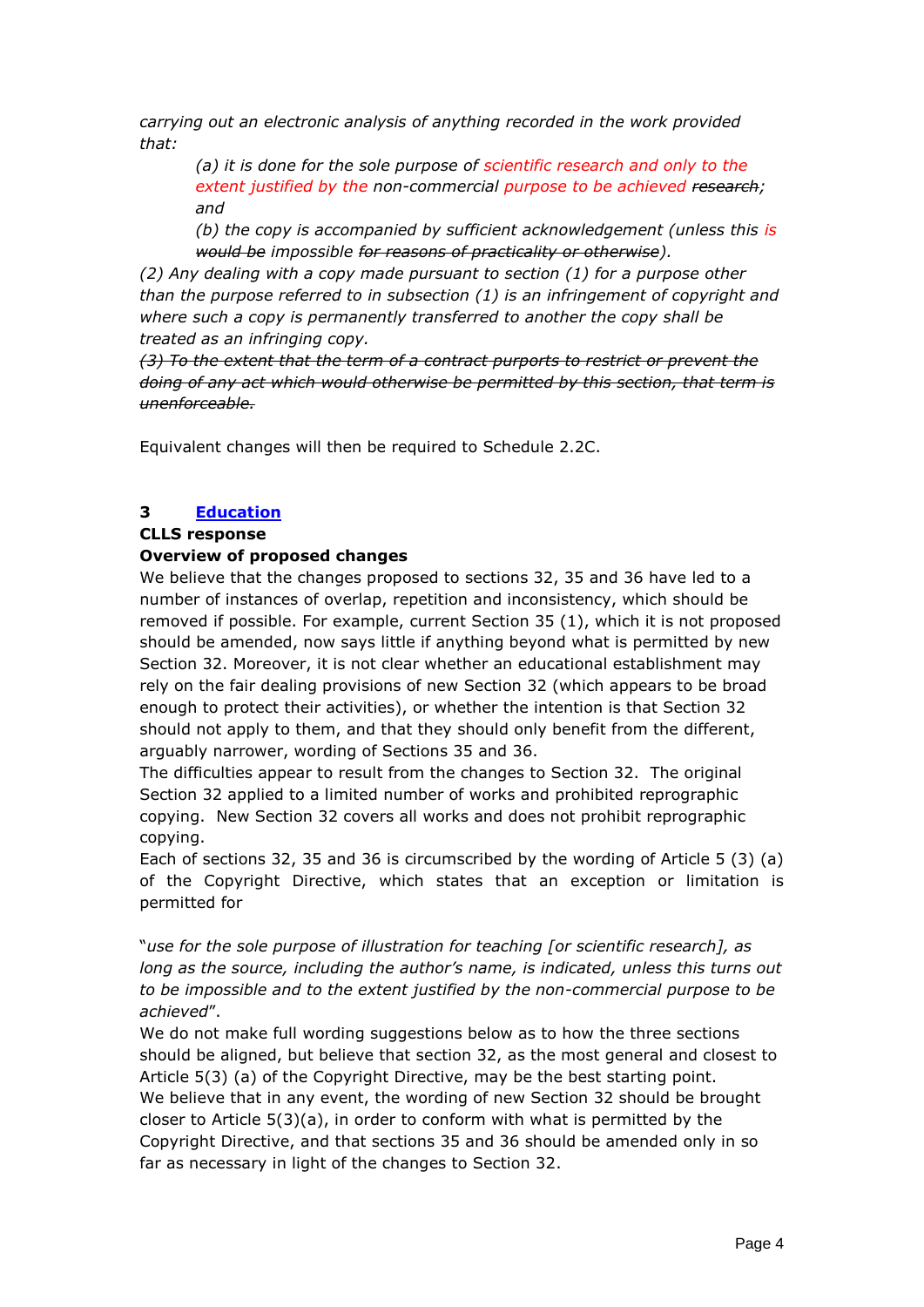*carrying out an electronic analysis of anything recorded in the work provided that:* 

*(a) it is done for the sole purpose of scientific research and only to the extent justified by the non-commercial purpose to be achieved research; and* 

*(b) the copy is accompanied by sufficient acknowledgement (unless this is would be impossible for reasons of practicality or otherwise).* 

*(2) Any dealing with a copy made pursuant to section (1) for a purpose other than the purpose referred to in subsection (1) is an infringement of copyright and where such a copy is permanently transferred to another the copy shall be treated as an infringing copy.* 

*(3) To the extent that the term of a contract purports to restrict or prevent the doing of any act which would otherwise be permitted by this section, that term is unenforceable.*

Equivalent changes will then be required to Schedule 2.2C.

## **3 [Education](http://www.ipo.gov.uk/techreview-education.pdf)**

### **CLLS response**

### **Overview of proposed changes**

We believe that the changes proposed to sections 32, 35 and 36 have led to a number of instances of overlap, repetition and inconsistency, which should be removed if possible. For example, current Section 35 (1), which it is not proposed should be amended, now says little if anything beyond what is permitted by new Section 32. Moreover, it is not clear whether an educational establishment may rely on the fair dealing provisions of new Section 32 (which appears to be broad enough to protect their activities), or whether the intention is that Section 32 should not apply to them, and that they should only benefit from the different, arguably narrower, wording of Sections 35 and 36.

The difficulties appear to result from the changes to Section 32. The original Section 32 applied to a limited number of works and prohibited reprographic copying. New Section 32 covers all works and does not prohibit reprographic copying.

Each of sections 32, 35 and 36 is circumscribed by the wording of Article 5 (3) (a) of the Copyright Directive, which states that an exception or limitation is permitted for

"*use for the sole purpose of illustration for teaching [or scientific research], as long as the source, including the author's name, is indicated, unless this turns out to be impossible and to the extent justified by the non-commercial purpose to be achieved*".

We do not make full wording suggestions below as to how the three sections should be aligned, but believe that section 32, as the most general and closest to Article 5(3) (a) of the Copyright Directive, may be the best starting point. We believe that in any event, the wording of new Section 32 should be brought closer to Article 5(3)(a), in order to conform with what is permitted by the Copyright Directive, and that sections 35 and 36 should be amended only in so far as necessary in light of the changes to Section 32.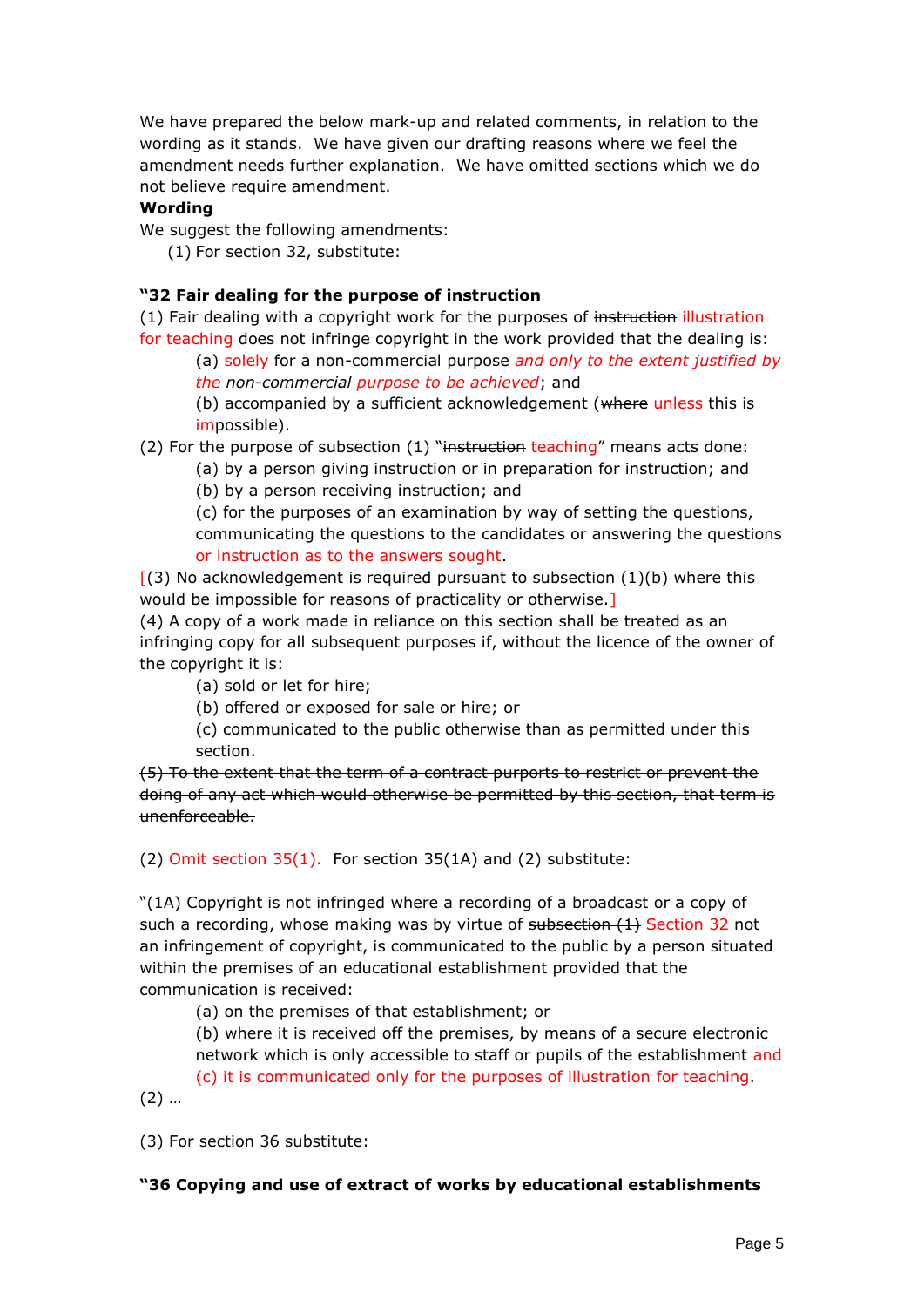We have prepared the below mark-up and related comments, in relation to the wording as it stands. We have given our drafting reasons where we feel the amendment needs further explanation. We have omitted sections which we do not believe require amendment.

#### **Wording**

We suggest the following amendments:

(1) For section 32, substitute:

#### **"32 Fair dealing for the purpose of instruction**

(1) Fair dealing with a copyright work for the purposes of instruction illustration for teaching does not infringe copyright in the work provided that the dealing is:

(a) solely for a non-commercial purpose *and only to the extent justified by the non-commercial purpose to be achieved*; and

(b) accompanied by a sufficient acknowledgement (where unless this is impossible).

(2) For the purpose of subsection  $(1)$  "instruction teaching" means acts done:

(a) by a person giving instruction or in preparation for instruction; and (b) by a person receiving instruction; and

(c) for the purposes of an examination by way of setting the questions, communicating the questions to the candidates or answering the questions or instruction as to the answers sought.

 $(3)$  No acknowledgement is required pursuant to subsection  $(1)(b)$  where this would be impossible for reasons of practicality or otherwise.]

(4) A copy of a work made in reliance on this section shall be treated as an infringing copy for all subsequent purposes if, without the licence of the owner of the copyright it is:

(a) sold or let for hire;

(b) offered or exposed for sale or hire; or

(c) communicated to the public otherwise than as permitted under this section.

(5) To the extent that the term of a contract purports to restrict or prevent the doing of any act which would otherwise be permitted by this section, that term is unenforceable.

(2) Omit section 35(1). For section 35(1A) and (2) substitute:

"(1A) Copyright is not infringed where a recording of a broadcast or a copy of such a recording, whose making was by virtue of subsection (1) Section 32 not an infringement of copyright, is communicated to the public by a person situated within the premises of an educational establishment provided that the communication is received:

(a) on the premises of that establishment; or

(b) where it is received off the premises, by means of a secure electronic network which is only accessible to staff or pupils of the establishment and (c) it is communicated only for the purposes of illustration for teaching.

(2) …

(3) For section 36 substitute:

### **"36 Copying and use of extract of works by educational establishments**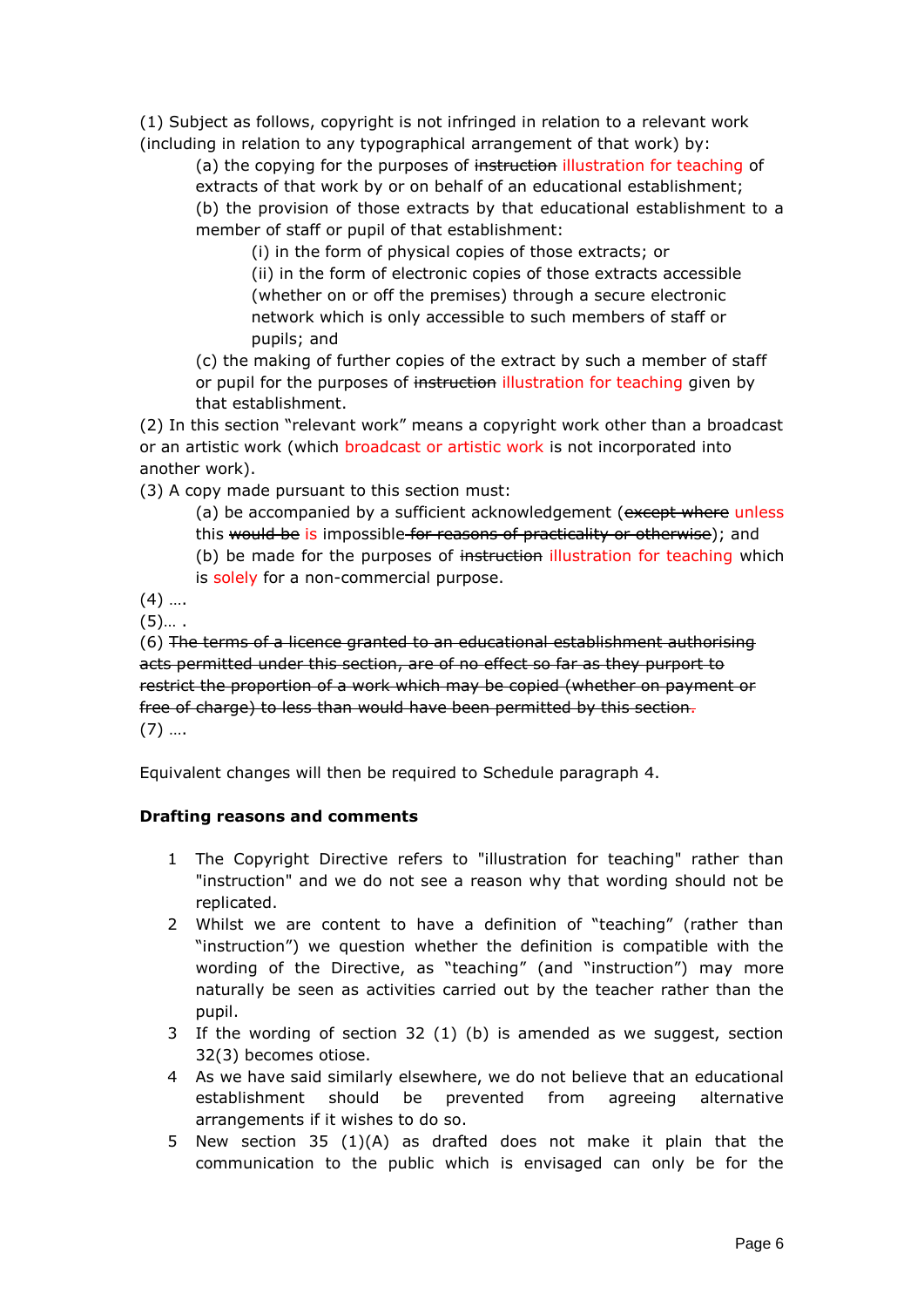(1) Subject as follows, copyright is not infringed in relation to a relevant work (including in relation to any typographical arrangement of that work) by:

(a) the copying for the purposes of instruction illustration for teaching of extracts of that work by or on behalf of an educational establishment; (b) the provision of those extracts by that educational establishment to a member of staff or pupil of that establishment:

(i) in the form of physical copies of those extracts; or (ii) in the form of electronic copies of those extracts accessible (whether on or off the premises) through a secure electronic network which is only accessible to such members of staff or pupils; and

(c) the making of further copies of the extract by such a member of staff or pupil for the purposes of instruction illustration for teaching given by that establishment.

(2) In this section "relevant work" means a copyright work other than a broadcast or an artistic work (which broadcast or artistic work is not incorporated into another work).

(3) A copy made pursuant to this section must:

(a) be accompanied by a sufficient acknowledgement (except where unless

this would be is impossible for reasons of practicality or otherwise); and

(b) be made for the purposes of instruction illustration for teaching which

is solely for a non-commercial purpose.

 $(4)$  ....

 $(5)$ …

(6) The terms of a licence granted to an educational establishment authorising acts permitted under this section, are of no effect so far as they purport to restrict the proportion of a work which may be copied (whether on payment or free of charge) to less than would have been permitted by this section.  $(7)$  ....

Equivalent changes will then be required to Schedule paragraph 4.

## **Drafting reasons and comments**

- 1 The Copyright Directive refers to "illustration for teaching" rather than "instruction" and we do not see a reason why that wording should not be replicated.
- 2 Whilst we are content to have a definition of "teaching" (rather than "instruction") we question whether the definition is compatible with the wording of the Directive, as "teaching" (and "instruction") may more naturally be seen as activities carried out by the teacher rather than the pupil.
- 3 If the wording of section 32 (1) (b) is amended as we suggest, section 32(3) becomes otiose.
- 4 As we have said similarly elsewhere, we do not believe that an educational establishment should be prevented from agreeing alternative arrangements if it wishes to do so.
- 5 New section 35 (1)(A) as drafted does not make it plain that the communication to the public which is envisaged can only be for the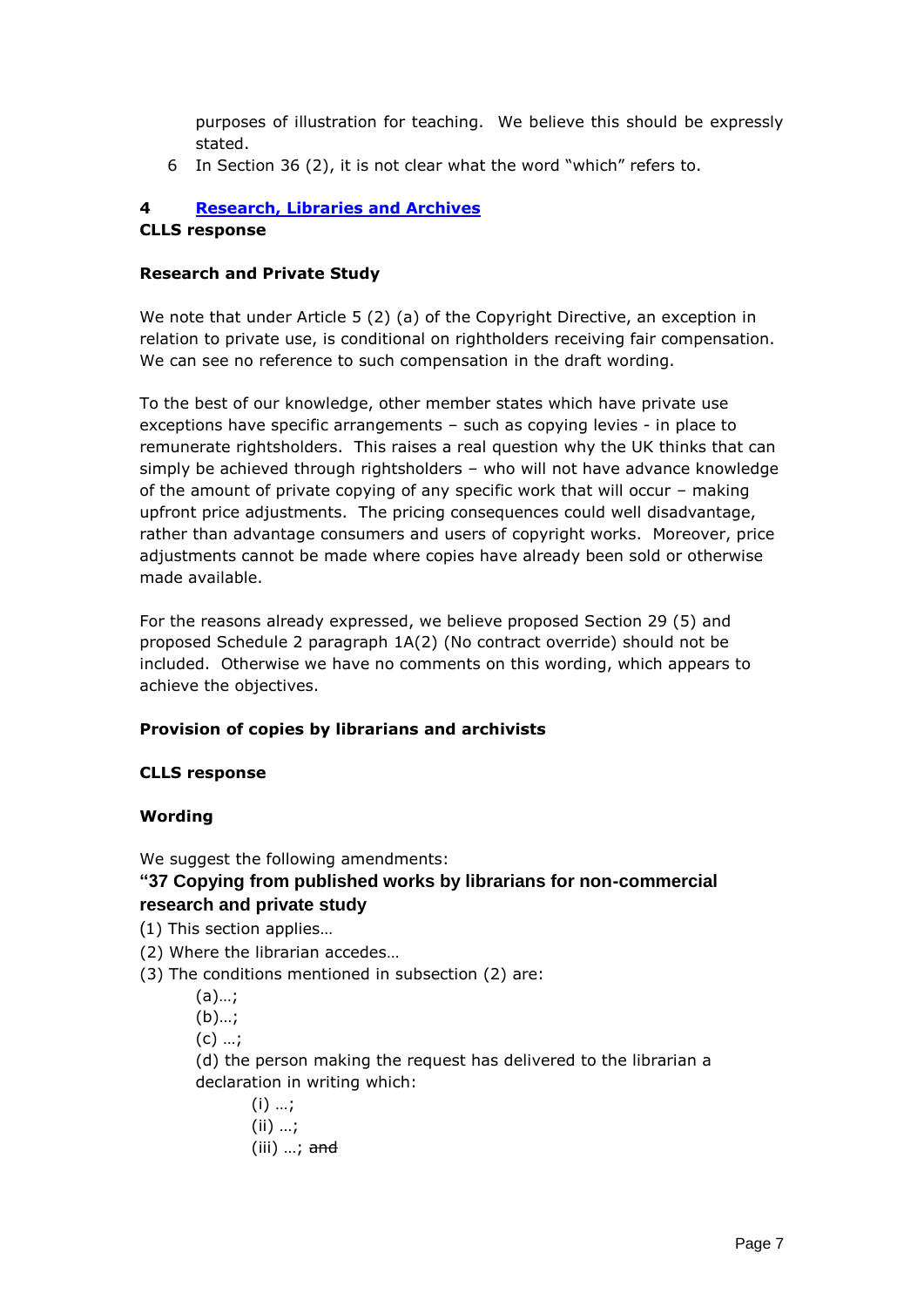purposes of illustration for teaching. We believe this should be expressly stated.

6 In Section 36 (2), it is not clear what the word "which" refers to.

#### **4 [Research, Libraries and Archives](http://www.ipo.gov.uk/techreview-research-library.pdf) CLLS response**

#### **Research and Private Study**

We note that under Article 5 (2) (a) of the Copyright Directive, an exception in relation to private use, is conditional on rightholders receiving fair compensation. We can see no reference to such compensation in the draft wording.

To the best of our knowledge, other member states which have private use exceptions have specific arrangements – such as copying levies - in place to remunerate rightsholders. This raises a real question why the UK thinks that can simply be achieved through rightsholders – who will not have advance knowledge of the amount of private copying of any specific work that will occur – making upfront price adjustments. The pricing consequences could well disadvantage, rather than advantage consumers and users of copyright works. Moreover, price adjustments cannot be made where copies have already been sold or otherwise made available.

For the reasons already expressed, we believe proposed Section 29 (5) and proposed Schedule 2 paragraph 1A(2) (No contract override) should not be included. Otherwise we have no comments on this wording, which appears to achieve the objectives.

### **Provision of copies by librarians and archivists**

### **CLLS response**

### **Wording**

We suggest the following amendments:

## **"37 Copying from published works by librarians for non-commercial research and private study**

- (1) This section applies…
- (2) Where the librarian accedes…
- (3) The conditions mentioned in subsection (2) are:

(a)…;

- (b)…;
- $(C)$  ...;

(d) the person making the request has delivered to the librarian a declaration in writing which:

 $(i)$  ...; (ii) …;  $(iii)$   $\ldots$ ; and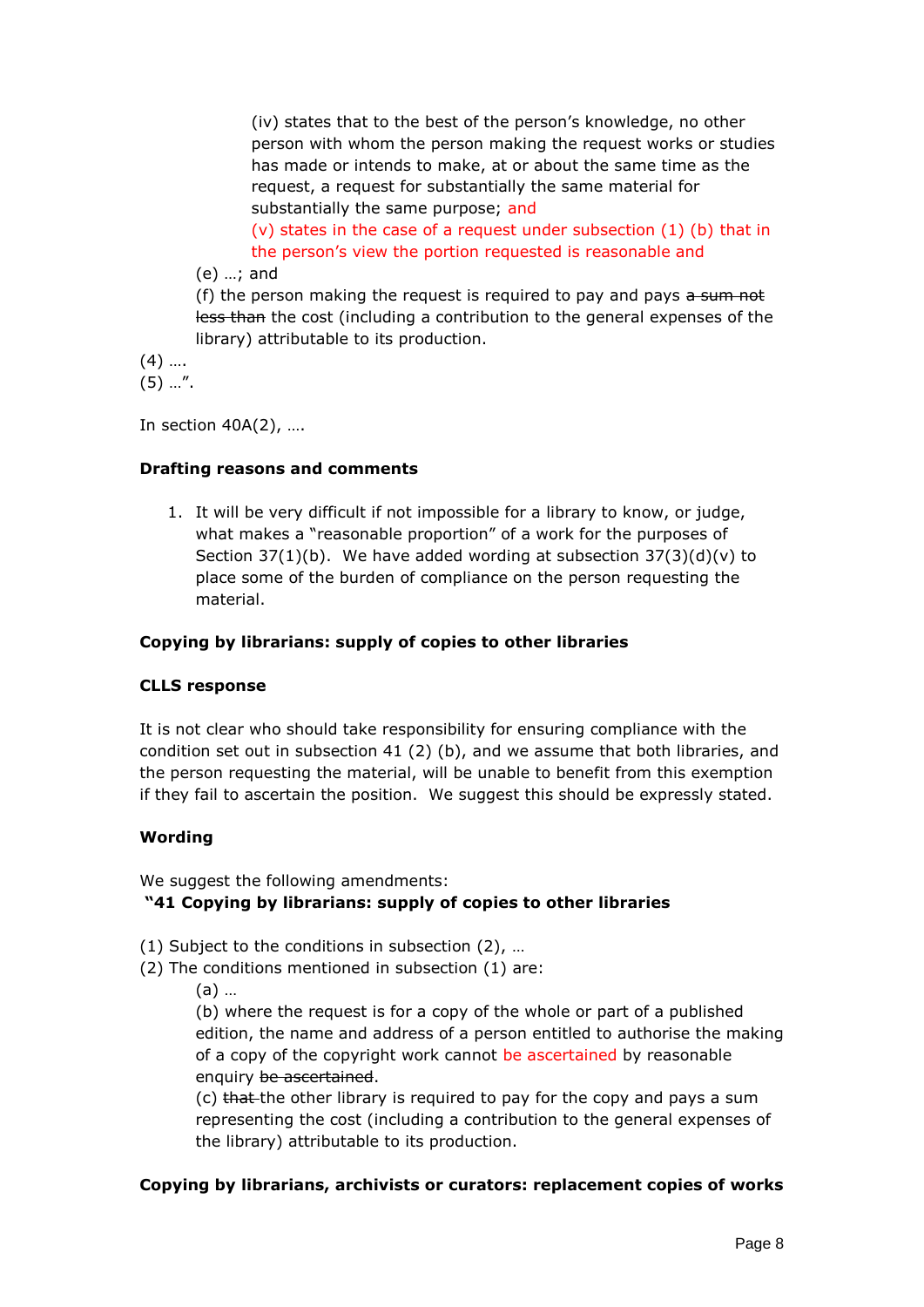(iv) states that to the best of the person's knowledge, no other person with whom the person making the request works or studies has made or intends to make, at or about the same time as the request, a request for substantially the same material for substantially the same purpose; and

(v) states in the case of a request under subsection (1) (b) that in the person's view the portion requested is reasonable and

(e) …; and

(f) the person making the request is required to pay and pays  $a \sin m$ less than the cost (including a contribution to the general expenses of the library) attributable to its production.

 $(4)$  ... (5) …".

In section 40A(2), ….

### **Drafting reasons and comments**

1. It will be very difficult if not impossible for a library to know, or judge, what makes a "reasonable proportion" of a work for the purposes of Section  $37(1)(b)$ . We have added wording at subsection  $37(3)(d)(v)$  to place some of the burden of compliance on the person requesting the material.

### **Copying by librarians: supply of copies to other libraries**

### **CLLS response**

It is not clear who should take responsibility for ensuring compliance with the condition set out in subsection 41 (2) (b), and we assume that both libraries, and the person requesting the material, will be unable to benefit from this exemption if they fail to ascertain the position. We suggest this should be expressly stated.

### **Wording**

We suggest the following amendments:

## **"41 Copying by librarians: supply of copies to other libraries**

- (1) Subject to the conditions in subsection (2), …
- (2) The conditions mentioned in subsection (1) are:
	- (a) …

(b) where the request is for a copy of the whole or part of a published edition, the name and address of a person entitled to authorise the making of a copy of the copyright work cannot be ascertained by reasonable enquiry be ascertained.

(c) that the other library is required to pay for the copy and pays a sum representing the cost (including a contribution to the general expenses of the library) attributable to its production.

### **Copying by librarians, archivists or curators: replacement copies of works**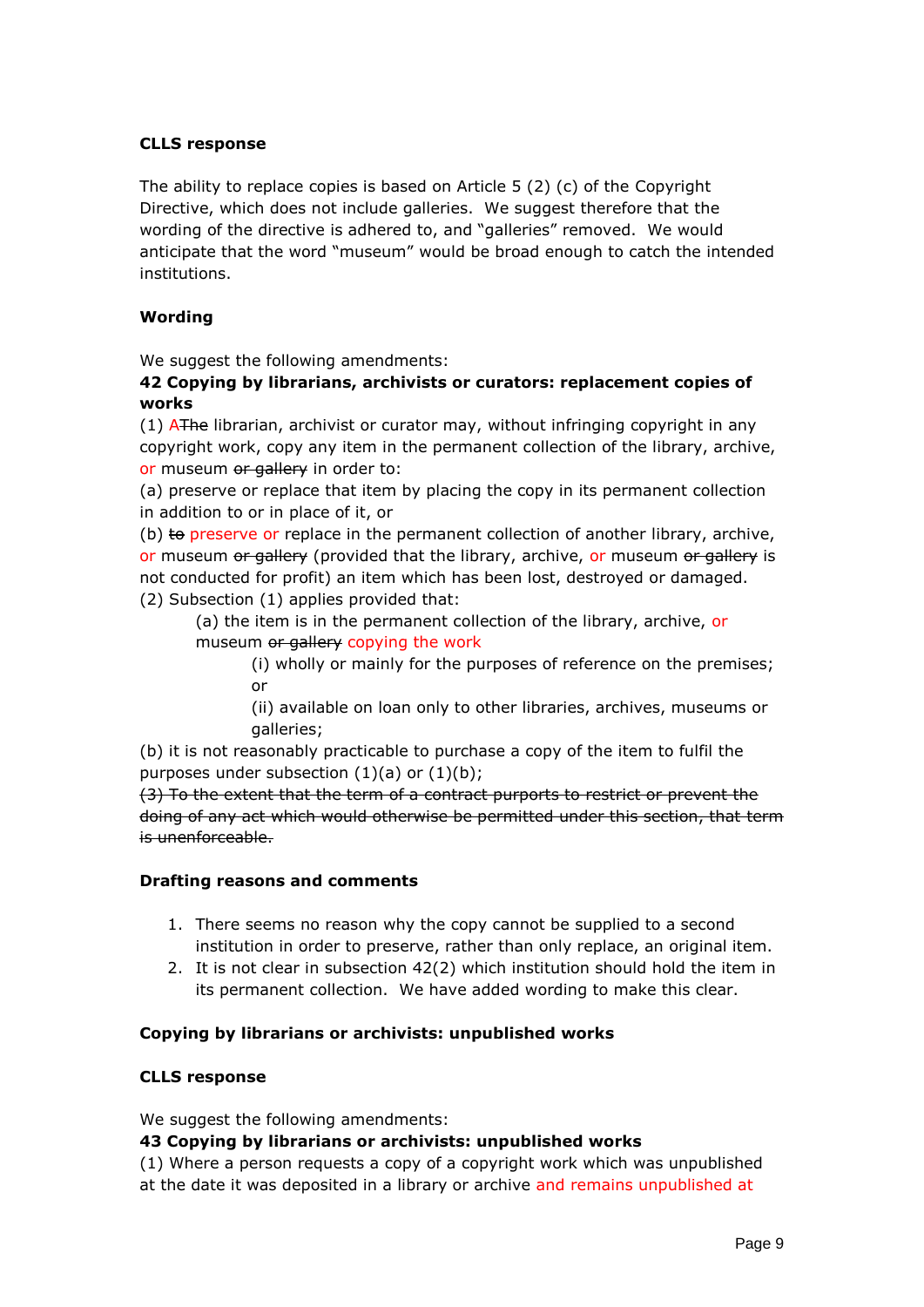#### **CLLS response**

The ability to replace copies is based on Article 5 (2) (c) of the Copyright Directive, which does not include galleries. We suggest therefore that the wording of the directive is adhered to, and "galleries" removed. We would anticipate that the word "museum" would be broad enough to catch the intended institutions.

### **Wording**

We suggest the following amendments:

### **42 Copying by librarians, archivists or curators: replacement copies of works**

 $(1)$  AThe librarian, archivist or curator may, without infringing copyright in any copyright work, copy any item in the permanent collection of the library, archive, or museum or gallery in order to:

(a) preserve or replace that item by placing the copy in its permanent collection in addition to or in place of it, or

(b)  $\pm$  preserve or replace in the permanent collection of another library, archive, or museum or gallery (provided that the library, archive, or museum or gallery is not conducted for profit) an item which has been lost, destroyed or damaged. (2) Subsection (1) applies provided that:

(a) the item is in the permanent collection of the library, archive, or museum or gallery copying the work

> (i) wholly or mainly for the purposes of reference on the premises; or

> (ii) available on loan only to other libraries, archives, museums or galleries;

(b) it is not reasonably practicable to purchase a copy of the item to fulfil the purposes under subsection  $(1)(a)$  or  $(1)(b)$ ;

(3) To the extent that the term of a contract purports to restrict or prevent the doing of any act which would otherwise be permitted under this section, that term is unenforceable.

### **Drafting reasons and comments**

- 1. There seems no reason why the copy cannot be supplied to a second institution in order to preserve, rather than only replace, an original item.
- 2. It is not clear in subsection 42(2) which institution should hold the item in its permanent collection. We have added wording to make this clear.

### **Copying by librarians or archivists: unpublished works**

#### **CLLS response**

We suggest the following amendments:

#### **43 Copying by librarians or archivists: unpublished works**

(1) Where a person requests a copy of a copyright work which was unpublished at the date it was deposited in a library or archive and remains unpublished at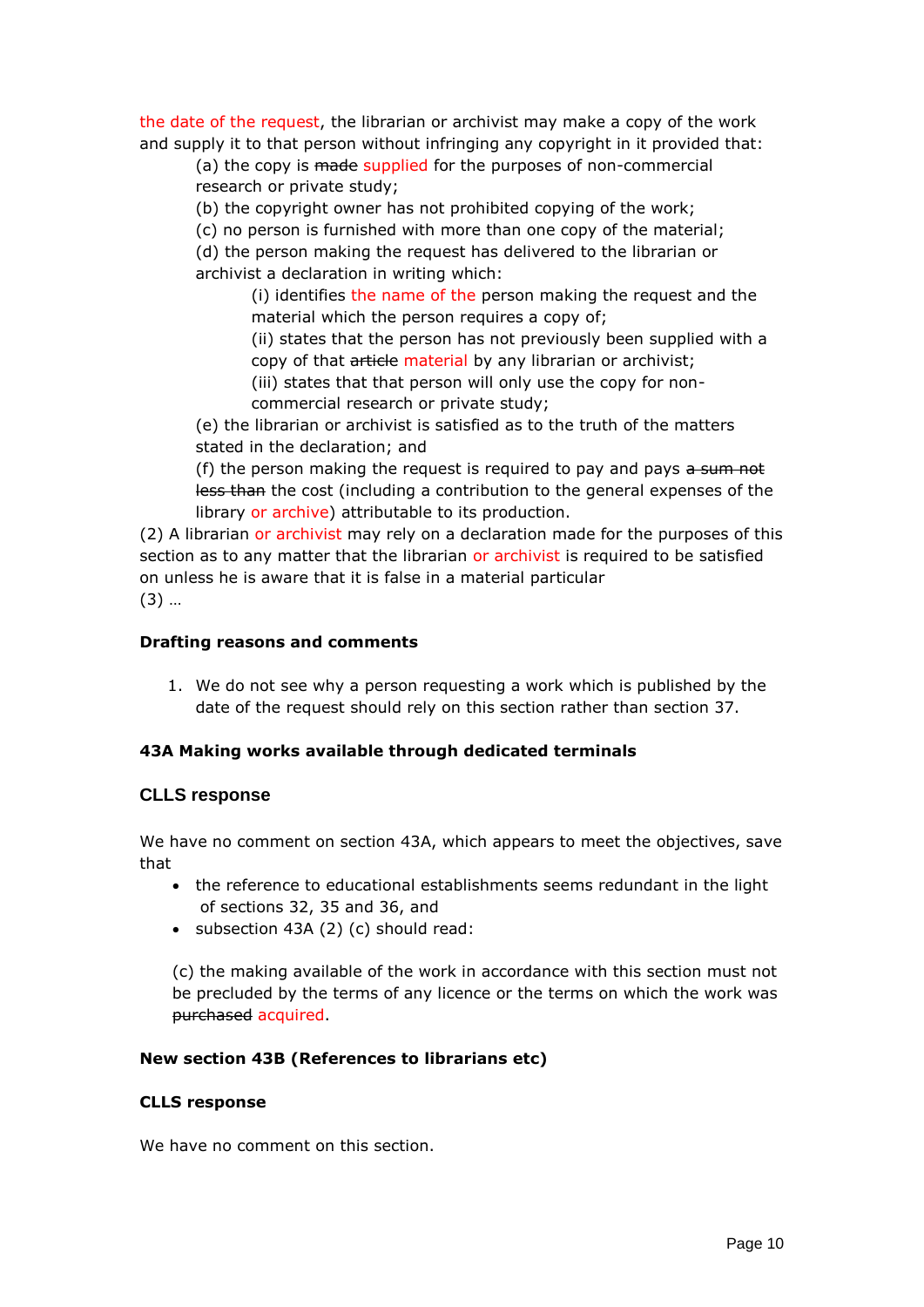the date of the request, the librarian or archivist may make a copy of the work and supply it to that person without infringing any copyright in it provided that:

(a) the copy is made supplied for the purposes of non-commercial research or private study;

(b) the copyright owner has not prohibited copying of the work;

(c) no person is furnished with more than one copy of the material;

(d) the person making the request has delivered to the librarian or archivist a declaration in writing which:

> (i) identifies the name of the person making the request and the material which the person requires a copy of:

(ii) states that the person has not previously been supplied with a copy of that article material by any librarian or archivist;

(iii) states that that person will only use the copy for noncommercial research or private study;

(e) the librarian or archivist is satisfied as to the truth of the matters stated in the declaration; and

(f) the person making the request is required to pay and pays  $a$  sum not less than the cost (including a contribution to the general expenses of the library or archive) attributable to its production.

(2) A librarian or archivist may rely on a declaration made for the purposes of this section as to any matter that the librarian or archivist is required to be satisfied on unless he is aware that it is false in a material particular (3) …

### **Drafting reasons and comments**

1. We do not see why a person requesting a work which is published by the date of the request should rely on this section rather than section 37.

### **43A Making works available through dedicated terminals**

### **CLLS response**

We have no comment on section 43A, which appears to meet the objectives, save that

- the reference to educational establishments seems redundant in the light of sections 32, 35 and 36, and
- subsection 43A (2) (c) should read:

(c) the making available of the work in accordance with this section must not be precluded by the terms of any licence or the terms on which the work was purchased acquired.

### **New section 43B (References to librarians etc)**

#### **CLLS response**

We have no comment on this section.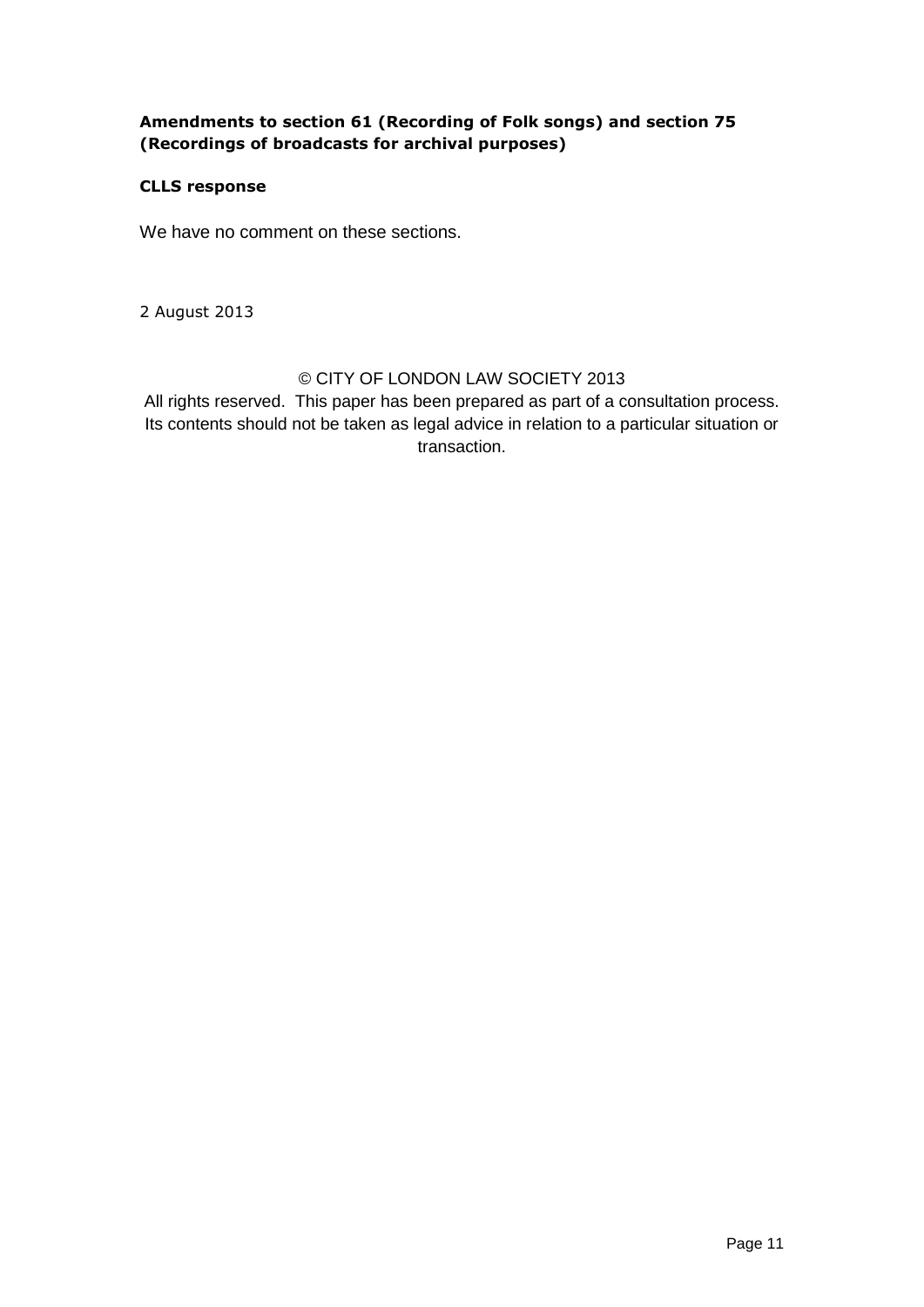## **Amendments to section 61 (Recording of Folk songs) and section 75 (Recordings of broadcasts for archival purposes)**

## **CLLS response**

We have no comment on these sections.

2 August 2013

# © CITY OF LONDON LAW SOCIETY 2013

All rights reserved. This paper has been prepared as part of a consultation process. Its contents should not be taken as legal advice in relation to a particular situation or transaction.